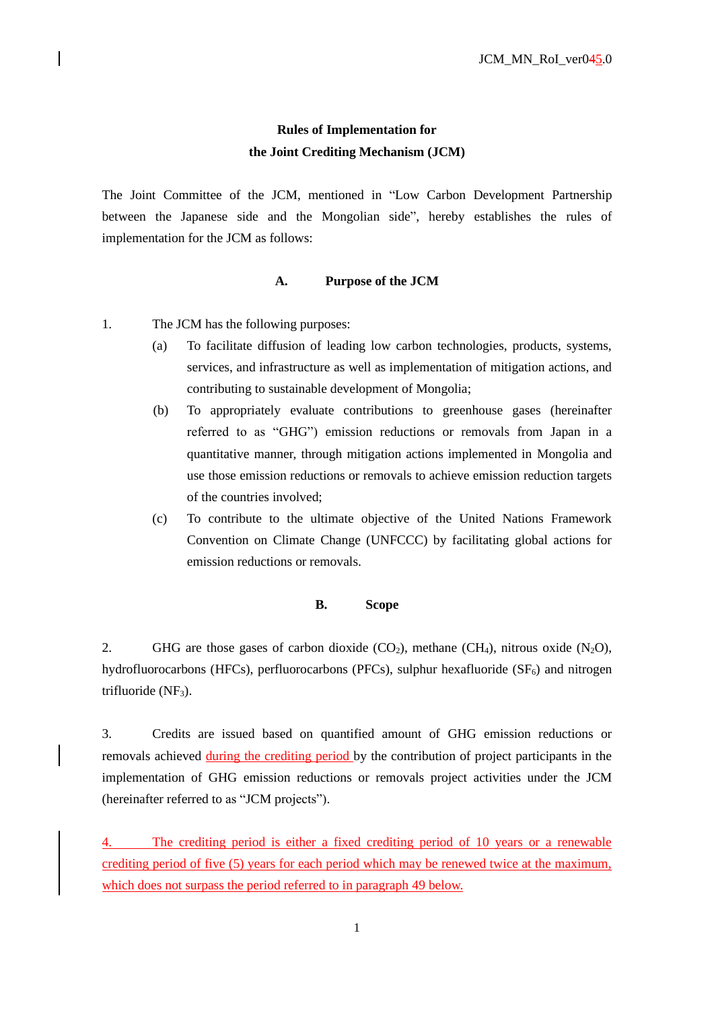# **Rules of Implementation for the Joint Crediting Mechanism (JCM)**

The Joint Committee of the JCM, mentioned in "Low Carbon Development Partnership between the Japanese side and the Mongolian side", hereby establishes the rules of implementation for the JCM as follows:

#### **A. Purpose of the JCM**

- 1. The JCM has the following purposes:
	- (a) To facilitate diffusion of leading low carbon technologies, products, systems, services, and infrastructure as well as implementation of mitigation actions, and contributing to sustainable development of Mongolia;
	- (b) To appropriately evaluate contributions to greenhouse gases (hereinafter referred to as "GHG") emission reductions or removals from Japan in a quantitative manner, through mitigation actions implemented in Mongolia and use those emission reductions or removals to achieve emission reduction targets of the countries involved;
	- (c) To contribute to the ultimate objective of the United Nations Framework Convention on Climate Change (UNFCCC) by facilitating global actions for emission reductions or removals.

#### **B. Scope**

2. GHG are those gases of carbon dioxide  $(CO_2)$ , methane  $(CH_4)$ , nitrous oxide  $(N_2O)$ , hydrofluorocarbons (HFCs), perfluorocarbons (PFCs), sulphur hexafluoride  $(SF_6)$  and nitrogen trifluoride  $(NF_3)$ .

3. Credits are issued based on quantified amount of GHG emission reductions or removals achieved during the crediting period by the contribution of project participants in the implementation of GHG emission reductions or removals project activities under the JCM (hereinafter referred to as "JCM projects").

The crediting period is either a fixed crediting period of 10 years or a renewable crediting period of five (5) years for each period which may be renewed twice at the maximum, which does not surpass the period referred to in paragraph [49](#page-7-0) below.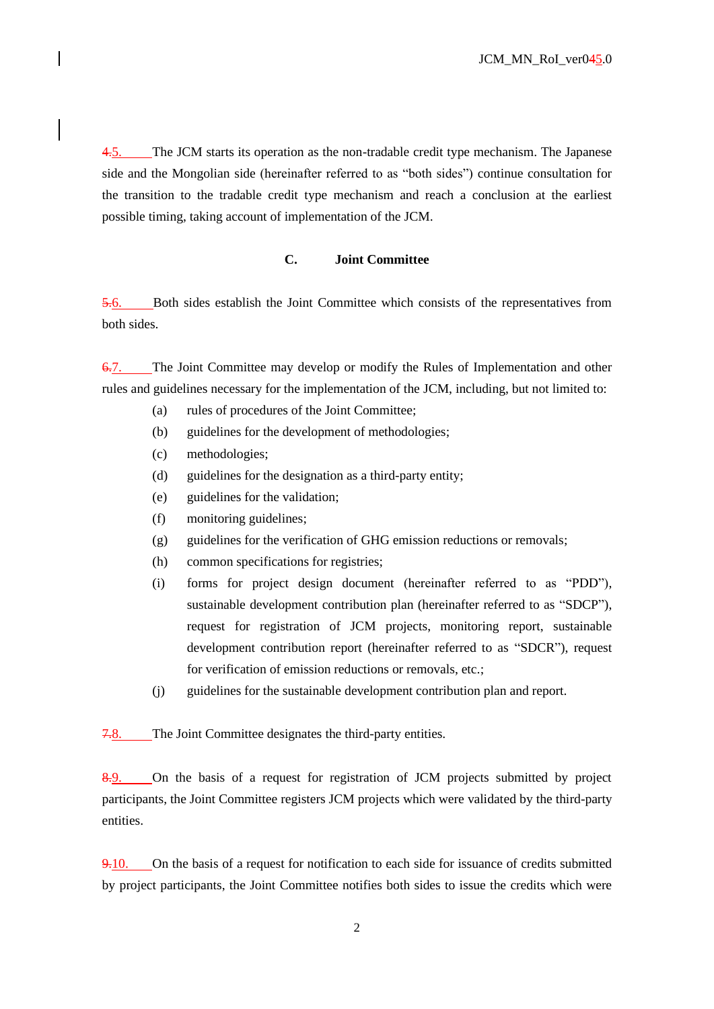4.5. The JCM starts its operation as the non-tradable credit type mechanism. The Japanese side and the Mongolian side (hereinafter referred to as "both sides") continue consultation for the transition to the tradable credit type mechanism and reach a conclusion at the earliest possible timing, taking account of implementation of the JCM.

## **C. Joint Committee**

5.6. Both sides establish the Joint Committee which consists of the representatives from both sides.

6.7. The Joint Committee may develop or modify the Rules of Implementation and other rules and guidelines necessary for the implementation of the JCM, including, but not limited to:

- (a) rules of procedures of the Joint Committee;
- (b) guidelines for the development of methodologies;
- (c) methodologies;
- (d) guidelines for the designation as a third-party entity;
- (e) guidelines for the validation;
- (f) monitoring guidelines;
- (g) guidelines for the verification of GHG emission reductions or removals;
- (h) common specifications for registries;
- (i) forms for project design document (hereinafter referred to as "PDD"), sustainable development contribution plan (hereinafter referred to as "SDCP"), request for registration of JCM projects, monitoring report, sustainable development contribution report (hereinafter referred to as "SDCR"), request for verification of emission reductions or removals, etc.;
- (j) guidelines for the sustainable development contribution plan and report.

7.8. The Joint Committee designates the third-party entities.

8.9. On the basis of a request for registration of JCM projects submitted by project participants, the Joint Committee registers JCM projects which were validated by the third-party entities.

9.10. On the basis of a request for notification to each side for issuance of credits submitted by project participants, the Joint Committee notifies both sides to issue the credits which were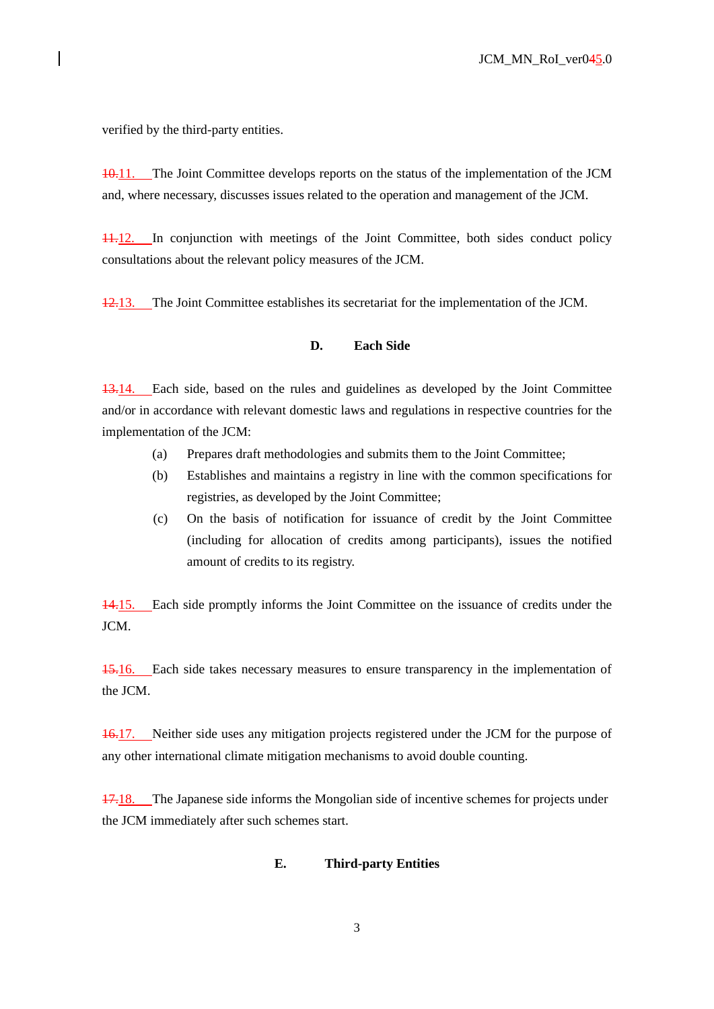verified by the third-party entities.

10.11. The Joint Committee develops reports on the status of the implementation of the JCM and, where necessary, discusses issues related to the operation and management of the JCM.

11.12. In conjunction with meetings of the Joint Committee, both sides conduct policy consultations about the relevant policy measures of the JCM.

12.13. The Joint Committee establishes its secretariat for the implementation of the JCM.

#### **D. Each Side**

13.14. Each side, based on the rules and guidelines as developed by the Joint Committee and/or in accordance with relevant domestic laws and regulations in respective countries for the implementation of the JCM:

- (a) Prepares draft methodologies and submits them to the Joint Committee;
- (b) Establishes and maintains a registry in line with the common specifications for registries, as developed by the Joint Committee;
- (c) On the basis of notification for issuance of credit by the Joint Committee (including for allocation of credits among participants), issues the notified amount of credits to its registry.

14.15. Each side promptly informs the Joint Committee on the issuance of credits under the JCM.

15.16. Each side takes necessary measures to ensure transparency in the implementation of the JCM.

<span id="page-2-0"></span>16.17. Neither side uses any mitigation projects registered under the JCM for the purpose of any other international climate mitigation mechanisms to avoid double counting.

17.18. The Japanese side informs the Mongolian side of incentive schemes for projects under the JCM immediately after such schemes start.

#### **E. Third-party Entities**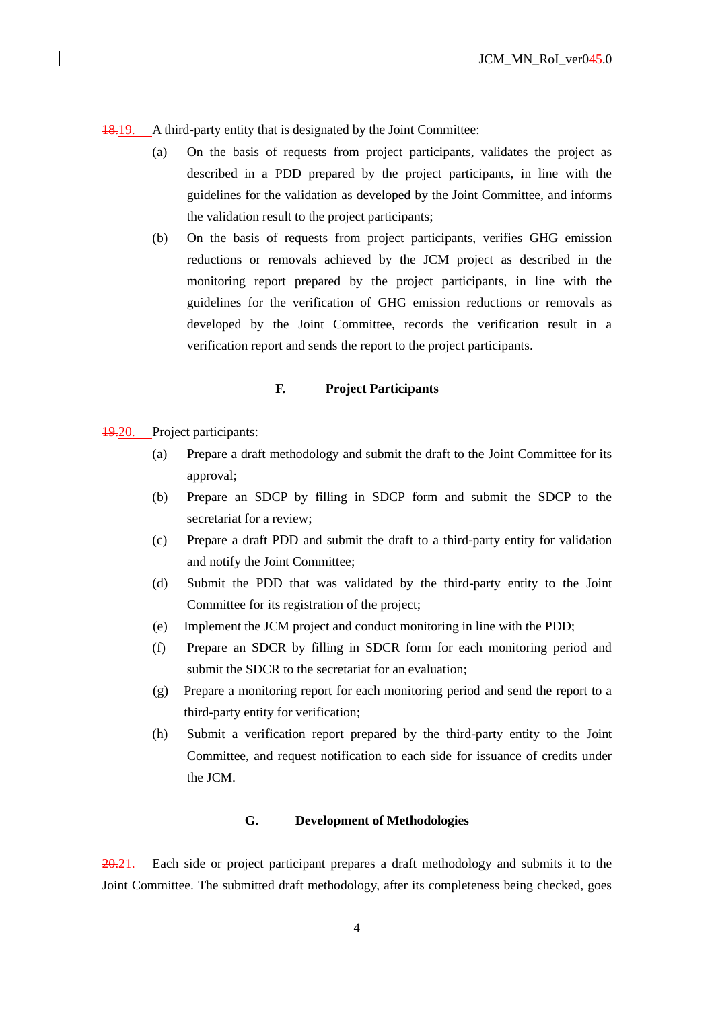18.19. A third-party entity that is designated by the Joint Committee:

- (a) On the basis of requests from project participants, validates the project as described in a PDD prepared by the project participants, in line with the guidelines for the validation as developed by the Joint Committee, and informs the validation result to the project participants;
- (b) On the basis of requests from project participants, verifies GHG emission reductions or removals achieved by the JCM project as described in the monitoring report prepared by the project participants, in line with the guidelines for the verification of GHG emission reductions or removals as developed by the Joint Committee, records the verification result in a verification report and sends the report to the project participants.

## **F. Project Participants**

19.20. Project participants:

- (a) Prepare a draft methodology and submit the draft to the Joint Committee for its approval;
- (b) Prepare an SDCP by filling in SDCP form and submit the SDCP to the secretariat for a review;
- (c) Prepare a draft PDD and submit the draft to a third-party entity for validation and notify the Joint Committee;
- (d) Submit the PDD that was validated by the third-party entity to the Joint Committee for its registration of the project;
- (e) Implement the JCM project and conduct monitoring in line with the PDD;
- (f) Prepare an SDCR by filling in SDCR form for each monitoring period and submit the SDCR to the secretariat for an evaluation;
- (g) Prepare a monitoring report for each monitoring period and send the report to a third-party entity for verification;
- (h) Submit a verification report prepared by the third-party entity to the Joint Committee, and request notification to each side for issuance of credits under the JCM.

# **G. Development of Methodologies**

20.21. Each side or project participant prepares a draft methodology and submits it to the Joint Committee. The submitted draft methodology, after its completeness being checked, goes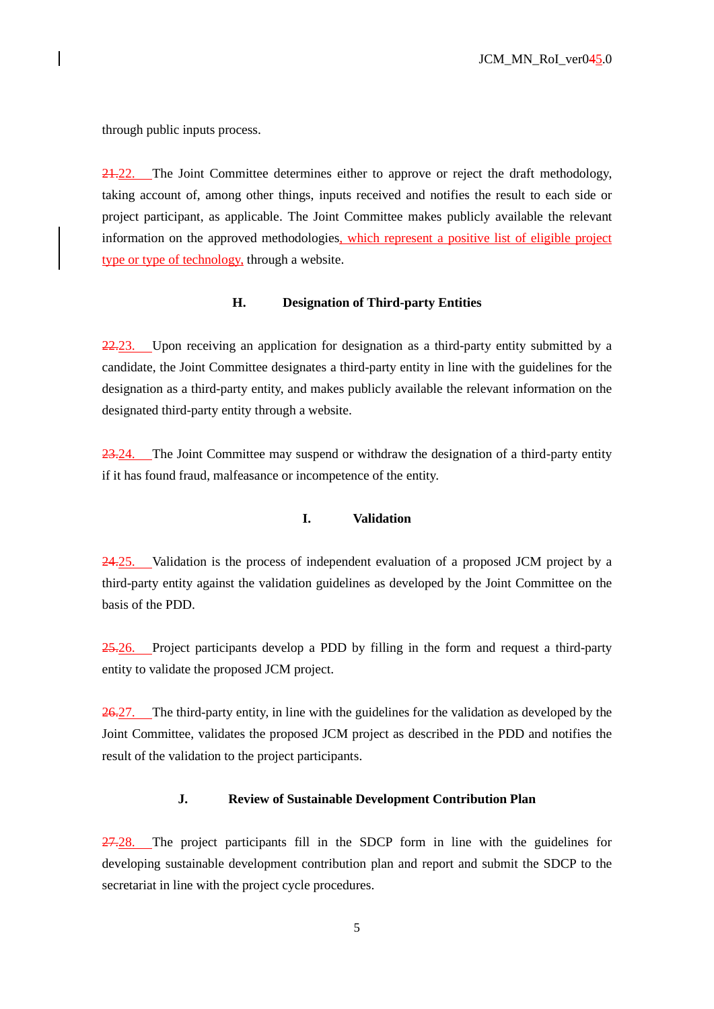through public inputs process.

21.22. The Joint Committee determines either to approve or reject the draft methodology, taking account of, among other things, inputs received and notifies the result to each side or project participant, as applicable. The Joint Committee makes publicly available the relevant information on the approved methodologies, which represent a positive list of eligible project type or type of technology, through a website.

#### **H. Designation of Third-party Entities**

22.23. Upon receiving an application for designation as a third-party entity submitted by a candidate, the Joint Committee designates a third-party entity in line with the guidelines for the designation as a third-party entity, and makes publicly available the relevant information on the designated third-party entity through a website.

23.24. The Joint Committee may suspend or withdraw the designation of a third-party entity if it has found fraud, malfeasance or incompetence of the entity.

## **I. Validation**

24.25. Validation is the process of independent evaluation of a proposed JCM project by a third-party entity against the validation guidelines as developed by the Joint Committee on the basis of the PDD.

25.26. Project participants develop a PDD by filling in the form and request a third-party entity to validate the proposed JCM project.

26.27. The third-party entity, in line with the guidelines for the validation as developed by the Joint Committee, validates the proposed JCM project as described in the PDD and notifies the result of the validation to the project participants.

## **J. Review of Sustainable Development Contribution Plan**

27.28. The project participants fill in the SDCP form in line with the guidelines for developing sustainable development contribution plan and report and submit the SDCP to the secretariat in line with the project cycle procedures.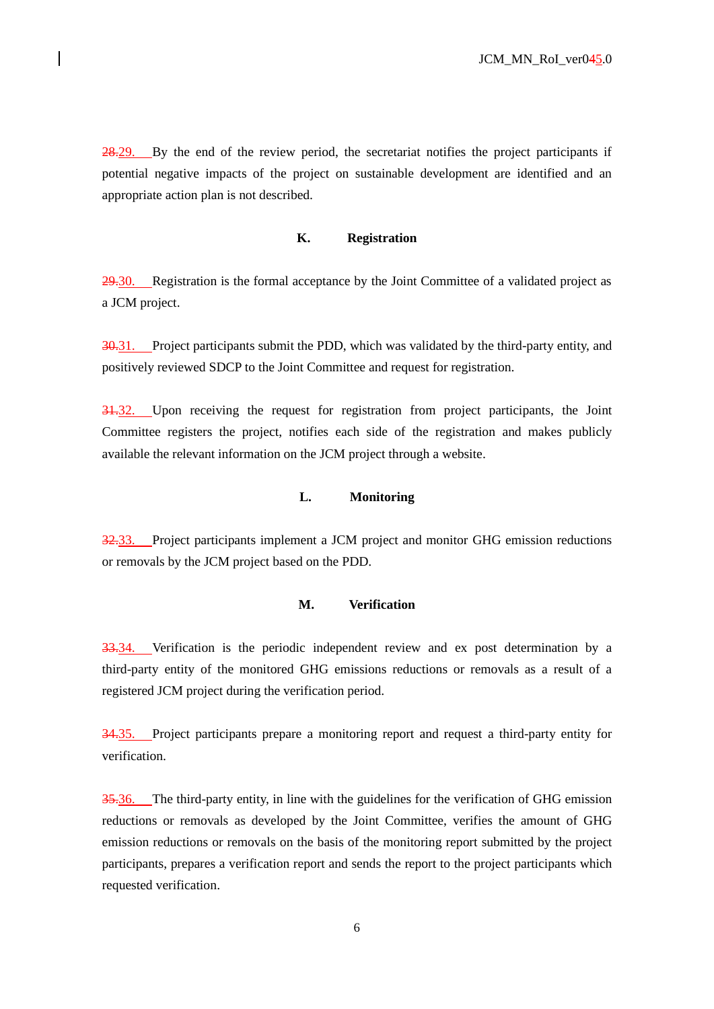28.29. By the end of the review period, the secretariat notifies the project participants if potential negative impacts of the project on sustainable development are identified and an appropriate action plan is not described.

## **K. Registration**

29.30. Registration is the formal acceptance by the Joint Committee of a validated project as a JCM project.

30.31. Project participants submit the PDD, which was validated by the third-party entity, and positively reviewed SDCP to the Joint Committee and request for registration.

31.32. Upon receiving the request for registration from project participants, the Joint Committee registers the project, notifies each side of the registration and makes publicly available the relevant information on the JCM project through a website.

## **L. Monitoring**

32.33. Project participants implement a JCM project and monitor GHG emission reductions or removals by the JCM project based on the PDD.

#### **M. Verification**

33.34. Verification is the periodic independent review and ex post determination by a third-party entity of the monitored GHG emissions reductions or removals as a result of a registered JCM project during the verification period.

34.35. Project participants prepare a monitoring report and request a third-party entity for verification.

35.36. The third-party entity, in line with the guidelines for the verification of GHG emission reductions or removals as developed by the Joint Committee, verifies the amount of GHG emission reductions or removals on the basis of the monitoring report submitted by the project participants, prepares a verification report and sends the report to the project participants which requested verification.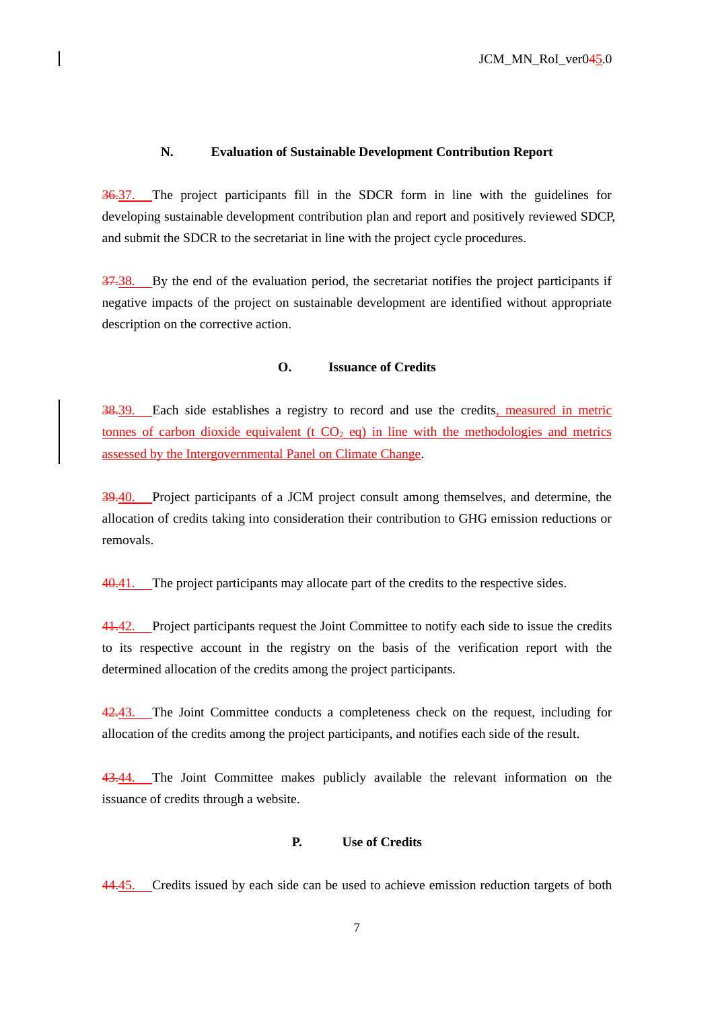## **N. Evaluation of Sustainable Development Contribution Report**

36.37. The project participants fill in the SDCR form in line with the guidelines for developing sustainable development contribution plan and report and positively reviewed SDCP, and submit the SDCR to the secretariat in line with the project cycle procedures.

37.38. By the end of the evaluation period, the secretariat notifies the project participants if negative impacts of the project on sustainable development are identified without appropriate description on the corrective action.

## **O. Issuance of Credits**

38.39. Each side establishes a registry to record and use the credits, measured in metric tonnes of carbon dioxide equivalent (t  $CO<sub>2</sub>$  eq) in line with the methodologies and metrics assessed by the Intergovernmental Panel on Climate Change.

39.40. Project participants of a JCM project consult among themselves, and determine, the allocation of credits taking into consideration their contribution to GHG emission reductions or removals.

40.41. The project participants may allocate part of the credits to the respective sides.

41.42. Project participants request the Joint Committee to notify each side to issue the credits to its respective account in the registry on the basis of the verification report with the determined allocation of the credits among the project participants.

42.43. The Joint Committee conducts a completeness check on the request, including for allocation of the credits among the project participants, and notifies each side of the result.

43.44. The Joint Committee makes publicly available the relevant information on the issuance of credits through a website.

#### **P. Use of Credits**

<span id="page-6-0"></span>44.45. Credits issued by each side can be used to achieve emission reduction targets of both